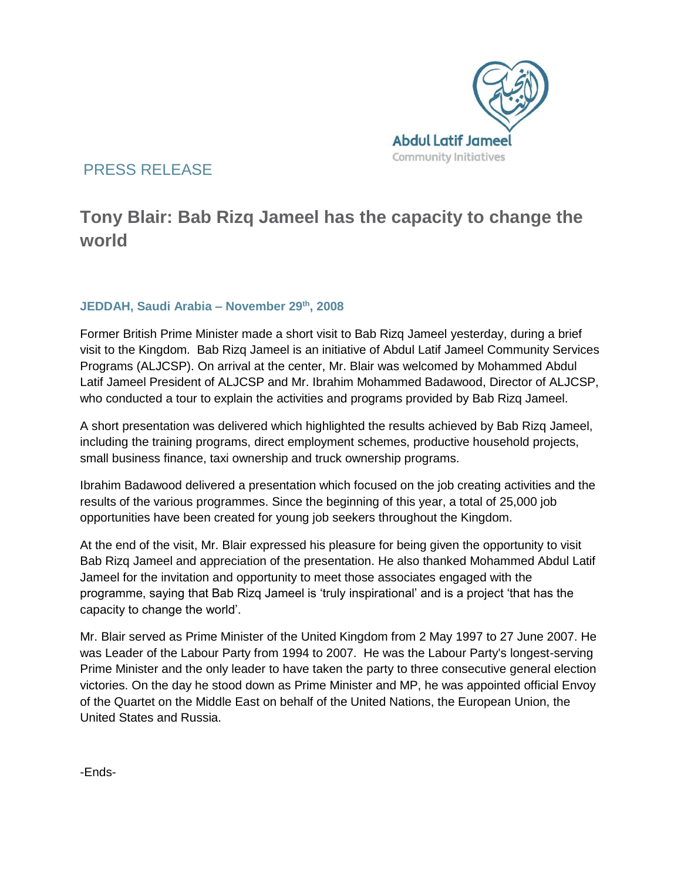

### PRESS RELEASE

# **Tony Blair: Bab Rizq Jameel has the capacity to change the world**

### **JEDDAH, Saudi Arabia – November 29th, 2008**

Former British Prime Minister made a short visit to Bab Rizq Jameel yesterday, during a brief visit to the Kingdom. Bab Rizq Jameel is an initiative of Abdul Latif Jameel Community Services Programs (ALJCSP). On arrival at the center, Mr. Blair was welcomed by Mohammed Abdul Latif Jameel President of ALJCSP and Mr. Ibrahim Mohammed Badawood, Director of ALJCSP, who conducted a tour to explain the activities and programs provided by Bab Rizq Jameel.

A short presentation was delivered which highlighted the results achieved by Bab Rizq Jameel, including the training programs, direct employment schemes, productive household projects, small business finance, taxi ownership and truck ownership programs.

Ibrahim Badawood delivered a presentation which focused on the job creating activities and the results of the various programmes. Since the beginning of this year, a total of 25,000 job opportunities have been created for young job seekers throughout the Kingdom.

At the end of the visit, Mr. Blair expressed his pleasure for being given the opportunity to visit Bab Rizq Jameel and appreciation of the presentation. He also thanked Mohammed Abdul Latif Jameel for the invitation and opportunity to meet those associates engaged with the programme, saying that Bab Rizq Jameel is 'truly inspirational' and is a project 'that has the capacity to change the world'.

Mr. Blair served as Prime Minister of the United Kingdom from 2 May 1997 to 27 June 2007. He was Leader of the Labour Party from 1994 to 2007. He was the Labour Party's longest-serving Prime Minister and the only leader to have taken the party to three consecutive general election victories. On the day he stood down as Prime Minister and MP, he was appointed official Envoy of the Quartet on the Middle East on behalf of the United Nations, the European Union, the United States and Russia.

-Ends-